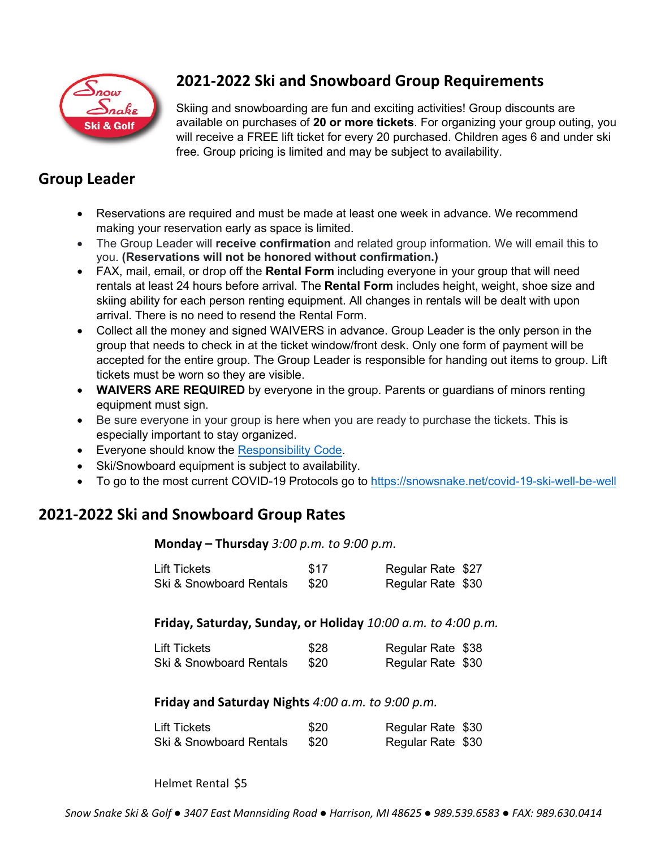

## **2021-2022 Ski and Snowboard Group Requirements**

Skiing and snowboarding are fun and exciting activities! Group discounts are available on purchases of **20 or more tickets**. For organizing your group outing, you will receive a FREE lift ticket for every 20 purchased. Children ages 6 and under ski free. Group pricing is limited and may be subject to availability.

## **Group Leader**

- Reservations are required and must be made at least one week in advance. We recommend making your reservation early as space is limited.
- The Group Leader will **receive confirmation** and related group information. We will email this to you. **(Reservations will not be honored without confirmation.)**
- FAX, mail, email, or drop off the **Rental Form** including everyone in your group that will need rentals at least 24 hours before arrival. The **Rental Form** includes height, weight, shoe size and skiing ability for each person renting equipment. All changes in rentals will be dealt with upon arrival. There is no need to resend the Rental Form.
- Collect all the money and signed WAIVERS in advance. Group Leader is the only person in the group that needs to check in at the ticket window/front desk. Only one form of payment will be accepted for the entire group. The Group Leader is responsible for handing out items to group. Lift tickets must be worn so they are visible.
- **WAIVERS ARE REQUIRED** by everyone in the group. Parents or guardians of minors renting equipment must sign.
- Be sure everyone in your group is here when you are ready to purchase the tickets. This is especially important to stay organized.
- Everyone should know the [Responsibility Code.](https://snowsnake.net/responsibility-code)
- Ski/Snowboard equipment is subject to availability.
- To go to the most current COVID-19 Protocols go to<https://snowsnake.net/covid-19-ski-well-be-well>

## **2021-2022 Ski and Snowboard Group Rates**

**Monday – Thursday** *3:00 p.m. to 9:00 p.m.* 

| <b>Lift Tickets</b>     | \$17 | Regular Rate \$27 |  |
|-------------------------|------|-------------------|--|
| Ski & Snowboard Rentals | \$20 | Regular Rate \$30 |  |

**Friday, Saturday, Sunday, or Holiday** *10:00 a.m. to 4:00 p.m.*

| <b>Lift Tickets</b>     | \$28 | Regular Rate \$38 |
|-------------------------|------|-------------------|
| Ski & Snowboard Rentals | \$20 | Regular Rate \$30 |

## **Friday and Saturday Nights** *4:00 a.m. to 9:00 p.m.*

| Lift Tickets            | \$20 | Regular Rate \$30 |
|-------------------------|------|-------------------|
| Ski & Snowboard Rentals | \$20 | Regular Rate \$30 |

Helmet Rental \$5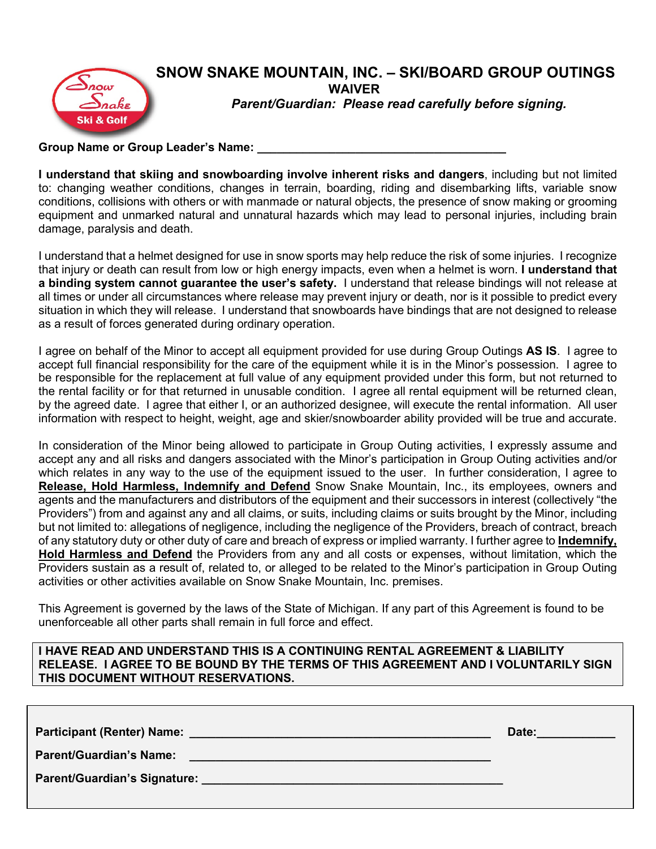

**Group Name or Group Leader's Name: \_\_\_\_\_\_\_\_\_\_\_\_\_\_\_\_\_\_\_\_\_\_\_\_\_\_\_\_\_\_\_\_\_\_\_\_\_\_**

**I understand that skiing and snowboarding involve inherent risks and dangers**, including but not limited to: changing weather conditions, changes in terrain, boarding, riding and disembarking lifts, variable snow conditions, collisions with others or with manmade or natural objects, the presence of snow making or grooming equipment and unmarked natural and unnatural hazards which may lead to personal injuries, including brain damage, paralysis and death.

I understand that a helmet designed for use in snow sports may help reduce the risk of some injuries. I recognize that injury or death can result from low or high energy impacts, even when a helmet is worn. **I understand that a binding system cannot guarantee the user's safety.** I understand that release bindings will not release at all times or under all circumstances where release may prevent injury or death, nor is it possible to predict every situation in which they will release. I understand that snowboards have bindings that are not designed to release as a result of forces generated during ordinary operation.

I agree on behalf of the Minor to accept all equipment provided for use during Group Outings **AS IS**. I agree to accept full financial responsibility for the care of the equipment while it is in the Minor's possession. I agree to be responsible for the replacement at full value of any equipment provided under this form, but not returned to the rental facility or for that returned in unusable condition. I agree all rental equipment will be returned clean, by the agreed date. I agree that either I, or an authorized designee, will execute the rental information. All user information with respect to height, weight, age and skier/snowboarder ability provided will be true and accurate.

In consideration of the Minor being allowed to participate in Group Outing activities, I expressly assume and accept any and all risks and dangers associated with the Minor's participation in Group Outing activities and/or which relates in any way to the use of the equipment issued to the user. In further consideration, I agree to **Release, Hold Harmless, Indemnify and Defend** Snow Snake Mountain, Inc., its employees, owners and agents and the manufacturers and distributors of the equipment and their successors in interest (collectively "the Providers") from and against any and all claims, or suits, including claims or suits brought by the Minor, including but not limited to: allegations of negligence, including the negligence of the Providers, breach of contract, breach of any statutory duty or other duty of care and breach of express or implied warranty. I further agree to **Indemnify, Hold Harmless and Defend** the Providers from any and all costs or expenses, without limitation, which the Providers sustain as a result of, related to, or alleged to be related to the Minor's participation in Group Outing activities or other activities available on Snow Snake Mountain, Inc. premises.

This Agreement is governed by the laws of the State of Michigan. If any part of this Agreement is found to be unenforceable all other parts shall remain in full force and effect.

**I HAVE READ AND UNDERSTAND THIS IS A CONTINUING RENTAL AGREEMENT & LIABILITY RELEASE. I AGREE TO BE BOUND BY THE TERMS OF THIS AGREEMENT AND I VOLUNTARILY SIGN THIS DOCUMENT WITHOUT RESERVATIONS.**

|                                                                                                                                                                                                                                                                 | Date: |
|-----------------------------------------------------------------------------------------------------------------------------------------------------------------------------------------------------------------------------------------------------------------|-------|
| <b>Parent/Guardian's Name:</b><br>the control of the control of the control of the control of the control of the control of the control of the control of the control of the control of the control of the control of the control of the control of the control |       |
|                                                                                                                                                                                                                                                                 |       |
|                                                                                                                                                                                                                                                                 |       |